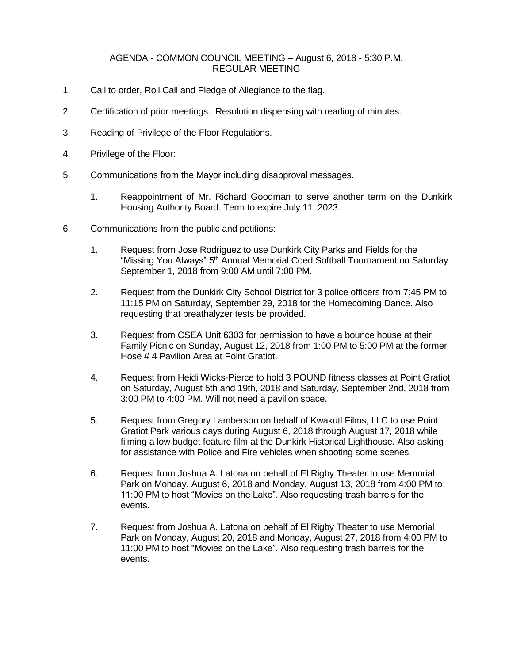## AGENDA - COMMON COUNCIL MEETING – August 6, 2018 - 5:30 P.M. REGULAR MEETING

- 1. Call to order, Roll Call and Pledge of Allegiance to the flag.
- 2. Certification of prior meetings. Resolution dispensing with reading of minutes.
- 3. Reading of Privilege of the Floor Regulations.
- 4. Privilege of the Floor:
- 5. Communications from the Mayor including disapproval messages.
	- 1. Reappointment of Mr. Richard Goodman to serve another term on the Dunkirk Housing Authority Board. Term to expire July 11, 2023.
- 6. Communications from the public and petitions:
	- 1. Request from Jose Rodriguez to use Dunkirk City Parks and Fields for the "Missing You Always" 5<sup>th</sup> Annual Memorial Coed Softball Tournament on Saturday September 1, 2018 from 9:00 AM until 7:00 PM.
	- 2. Request from the Dunkirk City School District for 3 police officers from 7:45 PM to 11:15 PM on Saturday, September 29, 2018 for the Homecoming Dance. Also requesting that breathalyzer tests be provided.
	- 3. Request from CSEA Unit 6303 for permission to have a bounce house at their Family Picnic on Sunday, August 12, 2018 from 1:00 PM to 5:00 PM at the former Hose # 4 Pavilion Area at Point Gratiot.
	- 4. Request from Heidi Wicks-Pierce to hold 3 POUND fitness classes at Point Gratiot on Saturday, August 5th and 19th, 2018 and Saturday, September 2nd, 2018 from 3:00 PM to 4:00 PM. Will not need a pavilion space.
	- 5. Request from Gregory Lamberson on behalf of Kwakutl Films, LLC to use Point Gratiot Park various days during August 6, 2018 through August 17, 2018 while filming a low budget feature film at the Dunkirk Historical Lighthouse. Also asking for assistance with Police and Fire vehicles when shooting some scenes.
	- 6. Request from Joshua A. Latona on behalf of El Rigby Theater to use Memorial Park on Monday, August 6, 2018 and Monday, August 13, 2018 from 4:00 PM to 11:00 PM to host "Movies on the Lake". Also requesting trash barrels for the events.
	- 7. Request from Joshua A. Latona on behalf of El Rigby Theater to use Memorial Park on Monday, August 20, 2018 and Monday, August 27, 2018 from 4:00 PM to 11:00 PM to host "Movies on the Lake". Also requesting trash barrels for the events.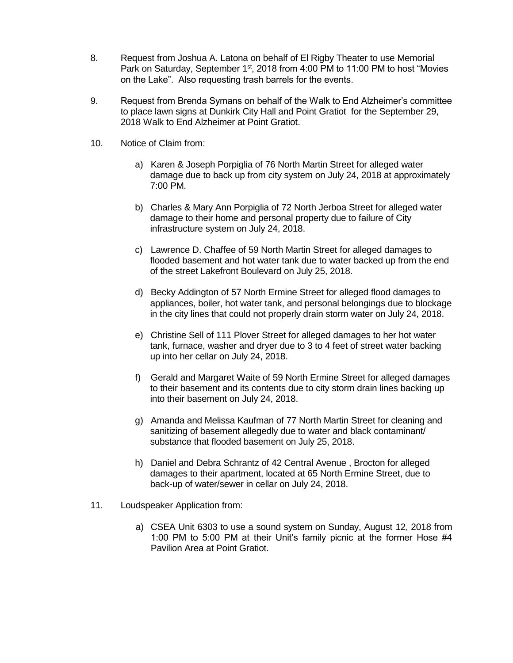- 8. Request from Joshua A. Latona on behalf of El Rigby Theater to use Memorial Park on Saturday, September 1<sup>st</sup>, 2018 from 4:00 PM to 11:00 PM to host "Movies on the Lake". Also requesting trash barrels for the events.
- 9. Request from Brenda Symans on behalf of the Walk to End Alzheimer's committee to place lawn signs at Dunkirk City Hall and Point Gratiot for the September 29, 2018 Walk to End Alzheimer at Point Gratiot.
- 10. Notice of Claim from:
	- a) Karen & Joseph Porpiglia of 76 North Martin Street for alleged water damage due to back up from city system on July 24, 2018 at approximately 7:00 PM.
	- b) Charles & Mary Ann Porpiglia of 72 North Jerboa Street for alleged water damage to their home and personal property due to failure of City infrastructure system on July 24, 2018.
	- c) Lawrence D. Chaffee of 59 North Martin Street for alleged damages to flooded basement and hot water tank due to water backed up from the end of the street Lakefront Boulevard on July 25, 2018.
	- d) Becky Addington of 57 North Ermine Street for alleged flood damages to appliances, boiler, hot water tank, and personal belongings due to blockage in the city lines that could not properly drain storm water on July 24, 2018.
	- e) Christine Sell of 111 Plover Street for alleged damages to her hot water tank, furnace, washer and dryer due to 3 to 4 feet of street water backing up into her cellar on July 24, 2018.
	- f) Gerald and Margaret Waite of 59 North Ermine Street for alleged damages to their basement and its contents due to city storm drain lines backing up into their basement on July 24, 2018.
	- g) Amanda and Melissa Kaufman of 77 North Martin Street for cleaning and sanitizing of basement allegedly due to water and black contaminant/ substance that flooded basement on July 25, 2018.
	- h) Daniel and Debra Schrantz of 42 Central Avenue , Brocton for alleged damages to their apartment, located at 65 North Ermine Street, due to back-up of water/sewer in cellar on July 24, 2018.
- 11. Loudspeaker Application from:
	- a) CSEA Unit 6303 to use a sound system on Sunday, August 12, 2018 from 1:00 PM to 5:00 PM at their Unit's family picnic at the former Hose #4 Pavilion Area at Point Gratiot.